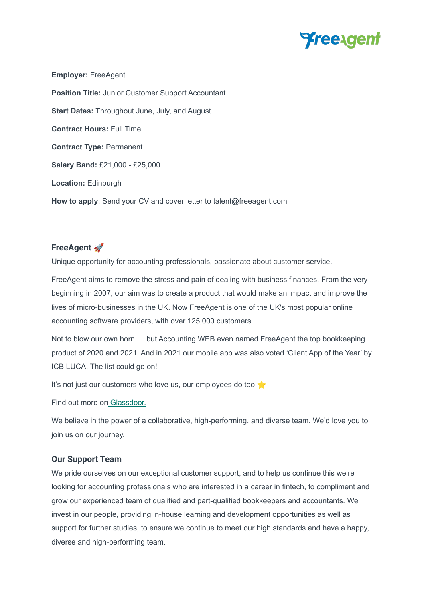

**Employer:** FreeAgent **Position Title:** Junior Customer Support Accountant **Start Dates:** Throughout June, July, and August **Contract Hours:** Full Time **Contract Type:** Permanent **Salary Band:** £21,000 - £25,000 **Location:** Edinburgh **How to apply**: Send your CV and cover letter to talent@freeagent.com

# **FreeAgent**

Unique opportunity for accounting professionals, passionate about customer service.

FreeAgent aims to remove the stress and pain of dealing with business finances. From the very beginning in 2007, our aim was to create a product that would make an impact and improve the lives of micro-businesses in the UK. Now FreeAgent is one of the UK's most popular online accounting software providers, with over 125,000 customers.

Not to blow our own horn … but Accounting WEB even named FreeAgent the top bookkeeping product of 2020 and 2021. And in 2021 our mobile app was also voted 'Client App of the Year' by ICB LUCA. The list could go on!

It's not just our customers who love us, our employees do too

Find out more on [Glassdoor.](https://www.glassdoor.co.uk/Reviews/FreeAgent-Reviews-E1000920.htm)

We believe in the power of a collaborative, high-performing, and diverse team. We'd love you to join us on our journey.

#### **Our Support Team**

We pride ourselves on our exceptional customer support, and to help us continue this we're looking for accounting professionals who are interested in a career in fintech, to compliment and grow our experienced team of qualified and part-qualified bookkeepers and accountants. We invest in our people, providing in-house learning and development opportunities as well as support for further studies, to ensure we continue to meet our high standards and have a happy, diverse and high-performing team.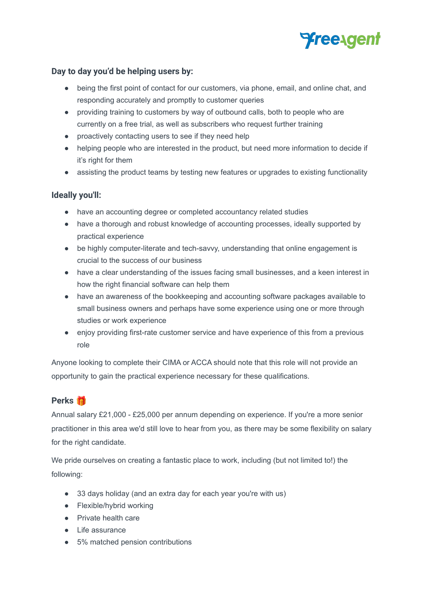

## **Day to day you'd be helping users by:**

- being the first point of contact for our customers, via phone, email, and online chat, and responding accurately and promptly to customer queries
- providing training to customers by way of outbound calls, both to people who are currently on a free trial, as well as subscribers who request further training
- proactively contacting users to see if they need help
- helping people who are interested in the product, but need more information to decide if it's right for them
- assisting the product teams by testing new features or upgrades to existing functionality

### **Ideally you'll:**

- have an accounting degree or completed accountancy related studies
- have a thorough and robust knowledge of accounting processes, ideally supported by practical experience
- be highly computer-literate and tech-savvy, understanding that online engagement is crucial to the success of our business
- have a clear understanding of the issues facing small businesses, and a keen interest in how the right financial software can help them
- have an awareness of the bookkeeping and accounting software packages available to small business owners and perhaps have some experience using one or more through studies or work experience
- enjoy providing first-rate customer service and have experience of this from a previous role

Anyone looking to complete their CIMA or ACCA should note that this role will not provide an opportunity to gain the practical experience necessary for these qualifications.

# **Perks**

Annual salary £21,000 - £25,000 per annum depending on experience. If you're a more senior practitioner in this area we'd still love to hear from you, as there may be some flexibility on salary for the right candidate.

We pride ourselves on creating a fantastic place to work, including (but not limited to!) the following:

- 33 days holiday (and an extra day for each year you're with us)
- Flexible/hybrid working
- Private health care
- Life assurance
- 5% matched pension contributions